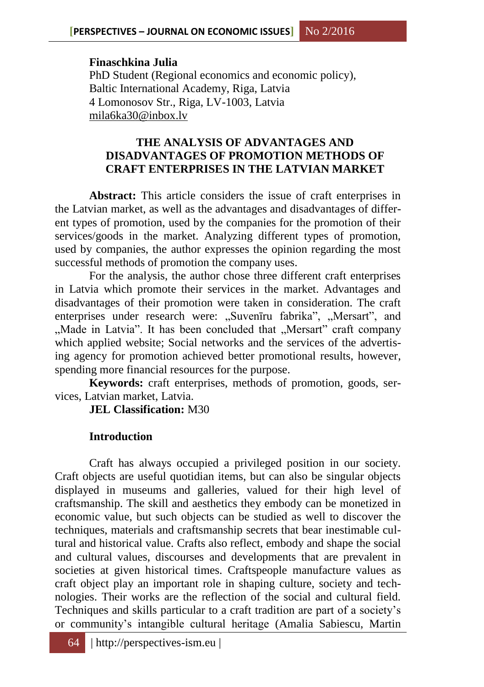**Finaschkina Julia** PhD Student (Regional economics and economic policy), Baltic International Academy, Riga, Latvia 4 Lomonosov Str., Riga, LV-1003, Latvia [mila6ka30@inbox.lv](mailto:mila6ka30@inbox.lv)

### **THE ANALYSIS OF ADVANTAGES AND DISADVANTAGES OF PROMOTION METHODS OF CRAFT ENTERPRISES IN THE LATVIAN MARKET**

**Abstract:** This article considers the issue of craft enterprises in the Latvian market, as well as the advantages and disadvantages of different types of promotion, used by the companies for the promotion of their services/goods in the market. Analyzing different types of promotion, used by companies, the author expresses the opinion regarding the most successful methods of promotion the company uses.

For the analysis, the author chose three different craft enterprises in Latvia which promote their services in the market. Advantages and disadvantages of their promotion were taken in consideration. The craft enterprises under research were: "Suvenīru fabrika", "Mersart", and "Made in Latvia". It has been concluded that "Mersart" craft company which applied website; Social networks and the services of the advertising agency for promotion achieved better promotional results, however, spending more financial resources for the purpose.

**Keywords:** craft enterprises, methods of promotion, goods, services, Latvian market, Latvia.

**JEL Classification:** M30

### **Introduction**

Craft has always occupied a privileged position in our society. Craft objects are useful quotidian items, but can also be singular objects displayed in museums and galleries, valued for their high level of craftsmanship. The skill and aesthetics they embody can be monetized in economic value, but such objects can be studied as well to discover the techniques, materials and craftsmanship secrets that bear inestimable cultural and historical value. Crafts also reflect, embody and shape the social and cultural values, discourses and developments that are prevalent in societies at given historical times. Craftspeople manufacture values as craft object play an important role in shaping culture, society and technologies. Their works are the reflection of the social and cultural field. Techniques and skills particular to a craft tradition are part of a society's or community's intangible cultural heritage (Amalia Sabiescu, Martin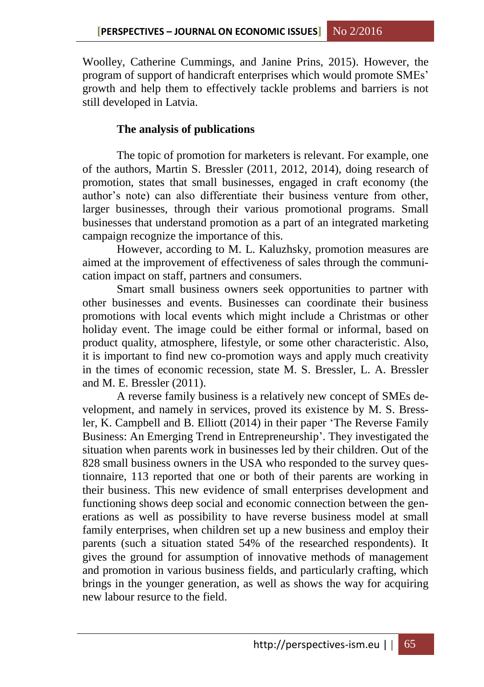Woolley, Catherine Cummings, and Janine Prins, 2015). However, the program of support of handicraft enterprises which would promote SMEs' growth and help them to effectively tackle problems and barriers is not still developed in Latvia.

# **The analysis of publications**

The topic of promotion for marketers is relevant. For example, one of the authors, Martin S. Bressler (2011, 2012, 2014), doing research of promotion, states that small businesses, engaged in craft economy (the author's note) can also differentiate their business venture from other, larger businesses, through their various promotional programs. Small businesses that understand promotion as a part of an integrated marketing campaign recognize the importance of this.

However, according to M. L. Kaluzhsky, promotion measures are aimed at the improvement of effectiveness of sales through the communication impact on staff, partners and consumers.

Smart small business owners seek opportunities to partner with other businesses and events. Businesses can coordinate their business promotions with local events which might include a Christmas or other holiday event. The image could be either formal or informal, based on product quality, atmosphere, lifestyle, or some other characteristic. Also, it is important to find new co-promotion ways and apply much creativity in the times of economic recession, state M. S. Bressler, L. A. Bressler and M. E. Bressler (2011).

A reverse family business is a relatively new concept of SMEs development, and namely in services, proved its existence by M. S. Bressler, K. Campbell and B. Elliott (2014) in their paper 'The Reverse Family Business: An Emerging Trend in Entrepreneurship'. They investigated the situation when parents work in businesses led by their children. Out of the 828 small business owners in the USA who responded to the survey questionnaire, 113 reported that one or both of their parents are working in their business. This new evidence of small enterprises development and functioning shows deep social and economic connection between the generations as well as possibility to have reverse business model at small family enterprises, when children set up a new business and employ their parents (such a situation stated 54% of the researched respondents). It gives the ground for assumption of innovative methods of management and promotion in various business fields, and particularly crafting, which brings in the younger generation, as well as shows the way for acquiring new labour resurce to the field.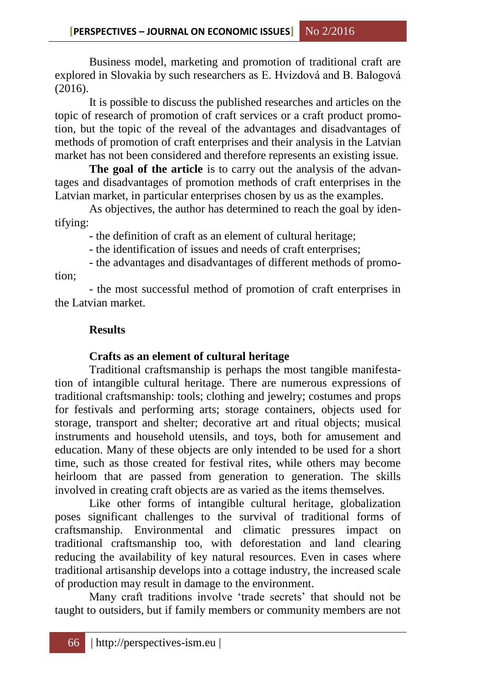Business model, marketing and promotion of traditional craft are explored in Slovakia by such researchers as E. Hvizdová and B. Balogová (2016).

It is possible to discuss the published researches and articles on the topic of research of promotion of craft services or a craft product promotion, but the topic of the reveal of the advantages and disadvantages of methods of promotion of craft enterprises and their analysis in the Latvian market has not been considered and therefore represents an existing issue.

**The goal of the article** is to carry out the analysis of the advantages and disadvantages of promotion methods of craft enterprises in the Latvian market, in particular enterprises chosen by us as the examples.

As objectives, the author has determined to reach the goal by identifying:

- the definition of craft as an element of cultural heritage;

- the identification of issues and needs of craft enterprises;

- the advantages and disadvantages of different methods of promo-

tion;

- the most successful method of promotion of craft enterprises in the Latvian market.

## **Results**

## **Crafts as an element of cultural heritage**

Traditional craftsmanship is perhaps the most tangible manifestation of intangible cultural heritage. There are numerous expressions of traditional craftsmanship: tools; clothing and jewelry; costumes and props for festivals and performing arts; storage containers, objects used for storage, transport and shelter; decorative art and ritual objects; musical instruments and household utensils, and toys, both for amusement and education. Many of these objects are only intended to be used for a short time, such as those created for festival rites, while others may become heirloom that are passed from generation to generation. The skills involved in creating craft objects are as varied as the items themselves.

Like other forms of intangible cultural heritage, globalization poses significant challenges to the survival of traditional forms of craftsmanship. Environmental and climatic pressures impact on traditional craftsmanship too, with deforestation and land clearing reducing the availability of key natural resources. Even in cases where traditional artisanship develops into a cottage industry, the increased scale of production may result in damage to the environment.

Many craft traditions involve 'trade secrets' that should not be taught to outsiders, but if family members or community members are not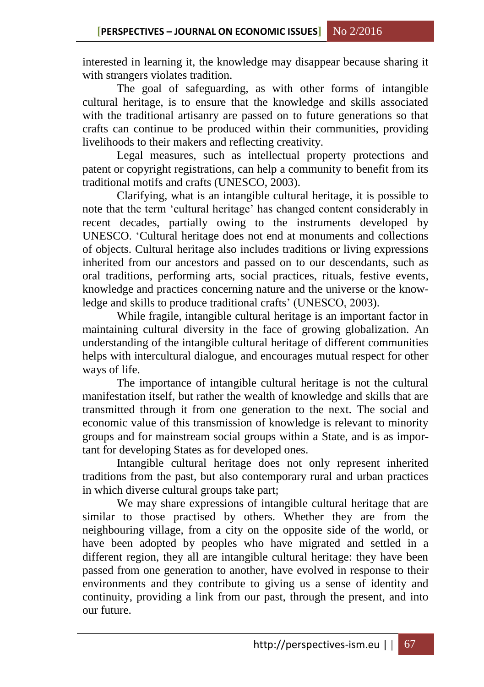interested in learning it, the knowledge may disappear because sharing it with strangers violates tradition.

The goal of safeguarding, as with other forms of intangible cultural heritage, is to ensure that the knowledge and skills associated with the traditional artisanry are passed on to future generations so that crafts can continue to be produced within their communities, providing livelihoods to their makers and reflecting creativity.

Legal measures, such as intellectual property protections and patent or copyright registrations, can help a community to benefit from its traditional motifs and crafts (UNESCO, 2003).

Clarifying, what is an intangible cultural heritage, it is possible to note that the term 'cultural heritage' has changed content considerably in recent decades, partially owing to the instruments developed by UNESCO. ‗Cultural heritage does not end at monuments and collections of objects. Cultural heritage also includes traditions or living expressions inherited from our ancestors and passed on to our descendants, such as [oral traditions,](http://www.unesco.org/culture/ich/index.php?lg=en&pg=00053) performing arts, [social practices, rituals, festive events,](http://www.unesco.org/culture/ich/index.php?lg=en&pg=00055) [knowledge and practices concerning nature and the universe](http://www.unesco.org/culture/ich/index.php?lg=en&pg=00056) or the [know](http://www.unesco.org/culture/ich/index.php?lg=en&pg=00057)[ledge and skills to produce traditional crafts'](http://www.unesco.org/culture/ich/index.php?lg=en&pg=00057) (UNESCO, 2003).

While fragile, intangible cultural heritage is an important factor in maintaining cultural diversity in the face of growing globalization. An understanding of the intangible cultural heritage of different communities helps with intercultural dialogue, and encourages mutual respect for other ways of life.

The importance of intangible cultural heritage is not the cultural manifestation itself, but rather the wealth of knowledge and skills that are transmitted through it from one generation to the next. The social and economic value of this transmission of knowledge is relevant to minority groups and for mainstream social groups within a State, and is as important for developing States as for developed ones.

Intangible cultural heritage does not only represent inherited traditions from the past, but also contemporary rural and urban practices in which diverse cultural groups take part;

We may share expressions of intangible cultural heritage that are similar to those practised by others. Whether they are from the neighbouring village, from a city on the opposite side of the world, or have been adopted by peoples who have migrated and settled in a different region, they all are intangible cultural heritage: they have been passed from one generation to another, have evolved in response to their environments and they contribute to giving us a sense of identity and continuity, providing a link from our past, through the present, and into our future.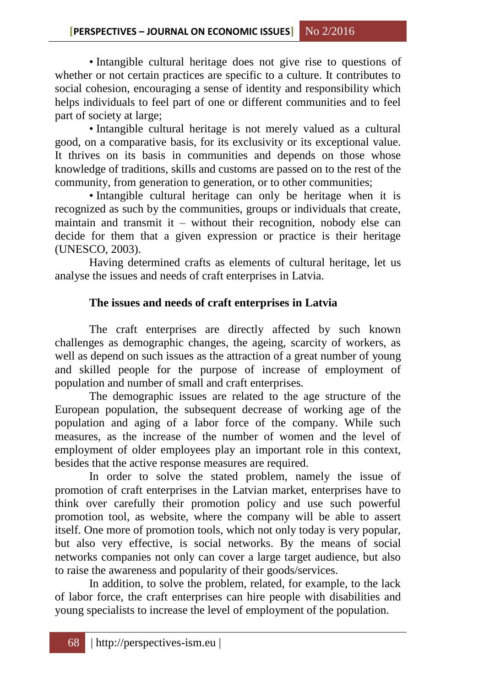• Intangible cultural heritage does not give rise to questions of whether or not certain practices are specific to a culture. It contributes to social cohesion, encouraging a sense of identity and responsibility which helps individuals to feel part of one or different communities and to feel part of society at large;

• Intangible cultural heritage is not merely valued as a cultural good, on a comparative basis, for its exclusivity or its exceptional value. It thrives on its basis in communities and depends on those whose knowledge of traditions, skills and customs are passed on to the rest of the community, from generation to generation, or to other communities;

• Intangible cultural heritage can only be heritage when it is recognized as such by the communities, groups or individuals that create, maintain and transmit it – without their recognition, nobody else can decide for them that a given expression or practice is their heritage (UNESCO, 2003).

Having determined crafts as elements of cultural heritage, let us analyse the issues and needs of craft enterprises in Latvia.

## **The issues and needs of craft enterprises in Latvia**

The craft enterprises are directly affected by such known challenges as demographic changes, the ageing, scarcity of workers, as well as depend on such issues as the attraction of a great number of young and skilled people for the purpose of increase of employment of population and number of small and craft enterprises.

The demographic issues are related to the age structure of the European population, the subsequent decrease of working age of the population and aging of a labor force of the company. While such measures, as the increase of the number of women and the level of employment of older employees play an important role in this context, besides that the active response measures are required.

In order to solve the stated problem, namely the issue of promotion of craft enterprises in the Latvian market, enterprises have to think over carefully their promotion policy and use such powerful promotion tool, as website, where the company will be able to assert itself. One more of promotion tools, which not only today is very popular, but also very effective, is social networks. By the means of social networks companies not only can cover a large target audience, but also to raise the awareness and popularity of their goods/services.

In addition, to solve the problem, related, for example, to the lack of labor force, the craft enterprises can hire people with disabilities and young specialists to increase the level of employment of the population.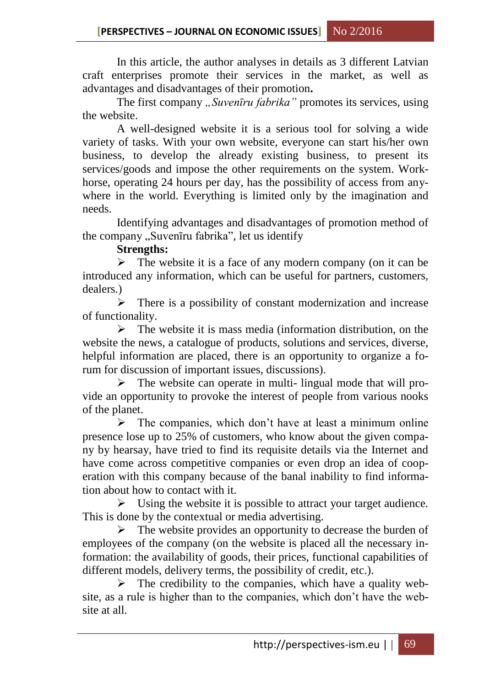In this article, the author analyses in details as 3 different Latvian craft enterprises promote their services in the market, as well as advantages and disadvantages of their promotion**.**

The first company "Suvenīru fabrika" promotes its services, using the website.

A well-designed website it is a serious tool for solving a wide variety of tasks. With your own website, everyone can start his/her own business, to develop the already existing business, to present its services/goods and impose the other requirements on the system. Workhorse, operating 24 hours per day, has the possibility of access from anywhere in the world. Everything is limited only by the imagination and needs.

Identifying advantages and disadvantages of promotion method of the company  $\sqrt{S}$  Suventiculary, let us identify

### **Strengths:**

 $\triangleright$  The website it is a face of any modern company (on it can be introduced any information, which can be useful for partners, customers, dealers.)

 $\triangleright$  There is a possibility of constant modernization and increase of functionality.

 $\triangleright$  The website it is mass media (information distribution, on the website the news, a catalogue of products, solutions and services, diverse, helpful information are placed, there is an opportunity to organize a forum for discussion of important issues, discussions).

 $\triangleright$  The website can operate in multi-lingual mode that will provide an opportunity to provoke the interest of people from various nooks of the planet.

 $\triangleright$  The companies, which don't have at least a minimum online presence lose up to 25% of customers, who know about the given company by hearsay, have tried to find its requisite details via the Internet and have come across competitive companies or even drop an idea of cooperation with this company because of the banal inability to find information about how to contact with it.

 $\triangleright$  Using the website it is possible to attract your target audience. This is done by the contextual or media advertising.

 $\triangleright$  The website provides an opportunity to decrease the burden of employees of the company (on the website is placed all the necessary information: the availability of goods, their prices, functional capabilities of different models, delivery terms, the possibility of credit, etc.).

 $\triangleright$  The credibility to the companies, which have a quality website, as a rule is higher than to the companies, which don't have the website at all.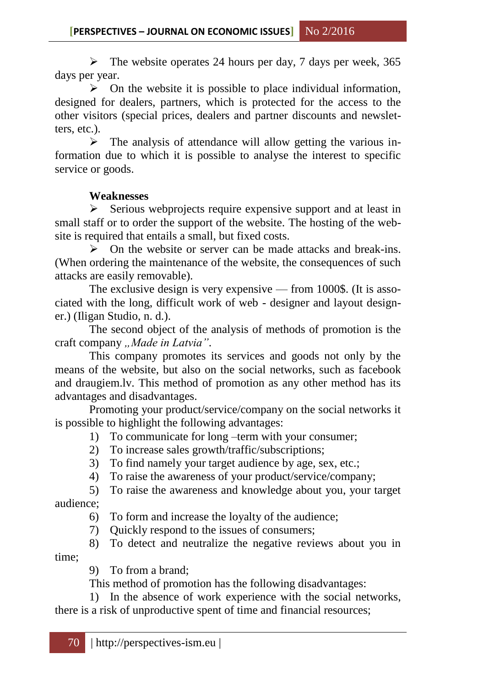$\triangleright$  The website operates 24 hours per day, 7 days per week, 365 days per year.

 $\triangleright$  On the website it is possible to place individual information, designed for dealers, partners, which is protected for the access to the other visitors (special prices, dealers and partner discounts and newsletters, etc.).

 The analysis of attendance will allow getting the various information due to which it is possible to analyse the interest to specific service or goods.

## **Weaknesses**

 $\triangleright$  Serious webprojects require expensive support and at least in small staff or to order the support of the website. The hosting of the website is required that entails a small, but fixed costs.

 $\triangleright$  On the website or server can be made attacks and break-ins. (When ordering the maintenance of the website, the consequences of such attacks are easily removable).

The exclusive design is very expensive — from 1000\$. (It is associated with the long, difficult work of web - designer and layout designer.) (Iligan Studio, n. d.).

The second object of the analysis of methods of promotion is the craft company "Made in Latvia".

This company promotes its services and goods not only by the means of the website, but also on the social networks, such as facebook and draugiem.lv. This method of promotion as any other method has its advantages and disadvantages.

Promoting your product/service/company on the social networks it is possible to highlight the following advantages:

1) To communicate for long –term with your consumer;

2) To increase sales growth/traffic/subscriptions;

3) To find namely your target audience by age, sex, etc.;

4) To raise the awareness of your product/service/company;

5) To raise the awareness and knowledge about you, your target audience;

6) To form and increase the loyalty of the audience;

7) Quickly respond to the issues of consumers;

8) To detect and neutralize the negative reviews about you in time;

9) To from a brand;

This method of promotion has the following disadvantages:

1) In the absence of work experience with the social networks, there is a risk of unproductive spent of time and financial resources;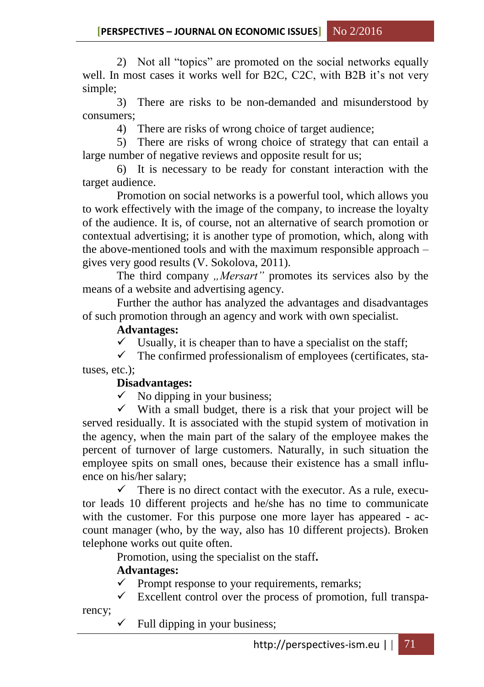2) Not all "topics" are promoted on the social networks equally well. In most cases it works well for B2C, С2С, with B2B it's not very simple;

3) There are risks to be non-demanded and misunderstood by consumers;

4) There are risks of wrong choice of target audience;

5) There are risks of wrong choice of strategy that can entail a large number of negative reviews and opposite result for us;

6) It is necessary to be ready for constant interaction with the target audience.

Promotion on social networks is a powerful tool, which allows you to work effectively with the image of the company, to increase the loyalty of the audience. It is, of course, not an alternative of search promotion or contextual advertising; it is another type of promotion, which, along with the above-mentioned tools and with the maximum responsible approach – gives very good results (V. Sokolova, 2011).

The third company *"Mersart*" promotes its services also by the means of a website and advertising agency.

Further the author has analyzed the advantages and disadvantages of such promotion through an agency and work with own specialist.

### **Advantages:**

 $\checkmark$  Usually, it is cheaper than to have a specialist on the staff;

 $\checkmark$  The confirmed professionalism of employees (certificates, statuses, etc.);

## **Disadvantages:**

 $\checkmark$  No dipping in your business;

 $\checkmark$  With a small budget, there is a risk that your project will be served residually. It is associated with the stupid system of motivation in the agency, when the main part of the salary of the employee makes the percent of turnover of large customers. Naturally, in such situation the employee spits on small ones, because their existence has a small influence on his/her salary;

 $\checkmark$  There is no direct contact with the executor. As a rule, executor leads 10 different projects and he/she has no time to communicate with the customer. For this purpose one more layer has appeared - account manager (who, by the way, also has 10 different projects). Broken telephone works out quite often.

Promotion, using the specialist on the staff**.** 

## **Advantages:**

 $\checkmark$  Prompt response to your requirements, remarks;

 $\checkmark$  Excellent control over the process of promotion, full transpa-

rency;

Full dipping in your business;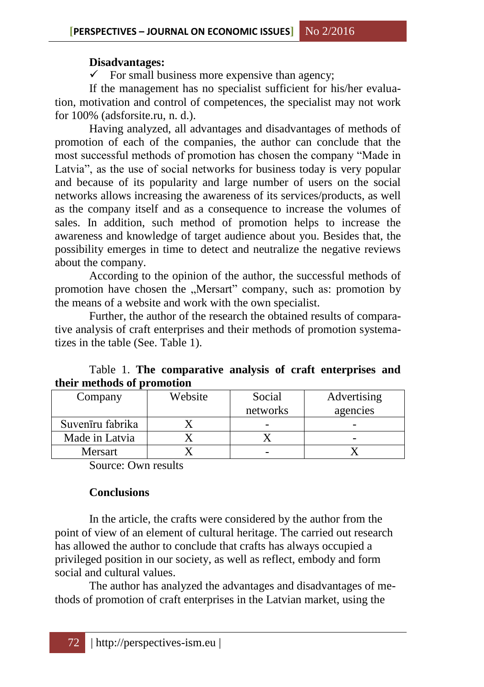### **Disadvantages:**

 $\checkmark$  For small business more expensive than agency;

If the management has no specialist sufficient for his/her evaluation, motivation and control of competences, the specialist may not work for 100% (adsforsite.ru, n. d.).

Having analyzed, all advantages and disadvantages of methods of promotion of each of the companies, the author can conclude that the most successful methods of promotion has chosen the company "Made in Latvia", as the use of social networks for business today is very popular and because of its popularity and large number of users on the social networks allows increasing the awareness of its services/products, as well as the company itself and as a consequence to increase the volumes of sales. In addition, such method of promotion helps to increase the awareness and knowledge of target audience about you. Besides that, the possibility emerges in time to detect and neutralize the negative reviews about the company.

According to the opinion of the author, the successful methods of promotion have chosen the "Mersart" company, such as: promotion by the means of a website and work with the own specialist.

Further, the author of the research the obtained results of comparative analysis of craft enterprises and their methods of promotion systematizes in the table (See. Table 1).

Table 1. **The comparative analysis of craft enterprises and their methods of promotion**

| Company          | Website | Social   | Advertising |
|------------------|---------|----------|-------------|
|                  |         | networks | agencies    |
| Suvenīru fabrika |         |          |             |
| Made in Latvia   |         |          |             |
| <b>Mersart</b>   |         |          |             |

Source: Own results

## **Conclusions**

In the article, the crafts were considered by the author from the point of view of an element of cultural heritage. The carried out research has allowed the author to conclude that crafts has always occupied a privileged position in our society, as well as reflect, embody and form social and cultural values.

The author has analyzed the advantages and disadvantages of methods of promotion of craft enterprises in the Latvian market, using the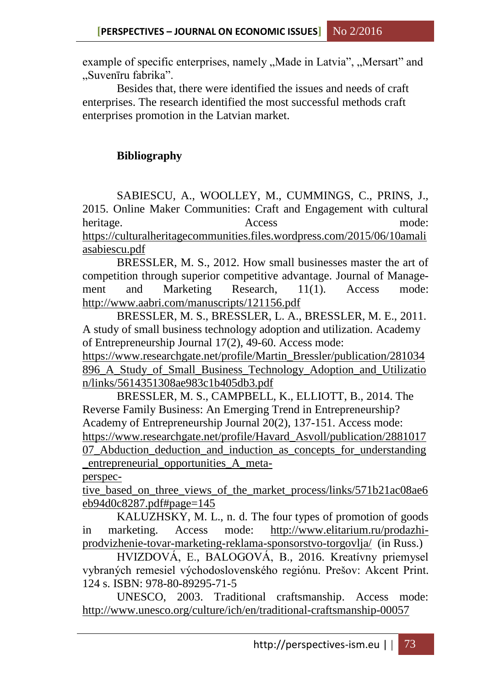example of specific enterprises, namely "Made in Latvia", "Mersart" and "Suvenīru fabrika".

Besides that, there were identified the issues and needs of craft enterprises. The research identified the most successful methods craft enterprises promotion in the Latvian market.

# **Bibliography**

SABIESCU, A., WOOLLEY, M., CUMMINGS, C., PRINS, J., 2015. Online Maker Communities: Craft and Engagement with cultural heritage. Access **and Access** mode: [https://culturalheritagecommunities.files.wordpress.com/2015/06/10amali](https://culturalheritagecommunities.files.wordpress.com/2015/06/10amaliasabiescu.pdf) [asabiescu.pdf](https://culturalheritagecommunities.files.wordpress.com/2015/06/10amaliasabiescu.pdf)

BRESSLER, M. S., 2012. How small businesses master the art of competition through superior competitive advantage. Journal of Management and Marketing Research, 11(1). Access mode: <http://www.aabri.com/manuscripts/121156.pdf>

BRESSLER, M. S., BRESSLER, L. A., BRESSLER, M. E., 2011. A study of small business technology adoption and utilization. Academy of Entrepreneurship Journal 17(2), 49-60. Access mode: [https://www.researchgate.net/profile/Martin\\_Bressler/publication/281034](https://www.researchgate.net/profile/Martin_Bressler/publication/281034896_A_Study_of_Small_Business_Technology_Adoption_and_Utilization/links/5614351308ae983c1b405db3.pdf) [896\\_A\\_Study\\_of\\_Small\\_Business\\_Technology\\_Adoption\\_and\\_Utilizatio](https://www.researchgate.net/profile/Martin_Bressler/publication/281034896_A_Study_of_Small_Business_Technology_Adoption_and_Utilization/links/5614351308ae983c1b405db3.pdf) [n/links/5614351308ae983c1b405db3.pdf](https://www.researchgate.net/profile/Martin_Bressler/publication/281034896_A_Study_of_Small_Business_Technology_Adoption_and_Utilization/links/5614351308ae983c1b405db3.pdf)

BRESSLER, M. S., CAMPBELL, K., ELLIOTT, B., 2014. The Reverse Family Business: An Emerging Trend in Entrepreneurship? Academy of Entrepreneurship Journal 20(2), 137-151. Access mode: [https://www.researchgate.net/profile/Havard\\_Asvoll/publication/2881017](https://www.researchgate.net/profile/Havard_Asvoll/publication/288101707_Abduction_deduction_and_induction_as_concepts_for_understanding_entrepreneurial_opportunities_A_meta-perspective_based_on_three_views_of_the_market_process/links/571b21ac08ae6eb94d0c8287.pdf#page=145) [07\\_Abduction\\_deduction\\_and\\_induction\\_as\\_concepts\\_for\\_understanding](https://www.researchgate.net/profile/Havard_Asvoll/publication/288101707_Abduction_deduction_and_induction_as_concepts_for_understanding_entrepreneurial_opportunities_A_meta-perspective_based_on_three_views_of_the_market_process/links/571b21ac08ae6eb94d0c8287.pdf#page=145) [\\_entrepreneurial\\_opportunities\\_A\\_meta-](https://www.researchgate.net/profile/Havard_Asvoll/publication/288101707_Abduction_deduction_and_induction_as_concepts_for_understanding_entrepreneurial_opportunities_A_meta-perspective_based_on_three_views_of_the_market_process/links/571b21ac08ae6eb94d0c8287.pdf#page=145)

[perspec-](https://www.researchgate.net/profile/Havard_Asvoll/publication/288101707_Abduction_deduction_and_induction_as_concepts_for_understanding_entrepreneurial_opportunities_A_meta-perspective_based_on_three_views_of_the_market_process/links/571b21ac08ae6eb94d0c8287.pdf#page=145)

[tive\\_based\\_on\\_three\\_views\\_of\\_the\\_market\\_process/links/571b21ac08ae6](https://www.researchgate.net/profile/Havard_Asvoll/publication/288101707_Abduction_deduction_and_induction_as_concepts_for_understanding_entrepreneurial_opportunities_A_meta-perspective_based_on_three_views_of_the_market_process/links/571b21ac08ae6eb94d0c8287.pdf#page=145) [eb94d0c8287.pdf#page=145](https://www.researchgate.net/profile/Havard_Asvoll/publication/288101707_Abduction_deduction_and_induction_as_concepts_for_understanding_entrepreneurial_opportunities_A_meta-perspective_based_on_three_views_of_the_market_process/links/571b21ac08ae6eb94d0c8287.pdf#page=145)

KALUZHSKY, M. L., n. d. The four types of promotion of goods in marketing. Access mode: [http://www.elitarium.ru/prodazhi](http://www.elitarium.ru/prodazhi-prodvizhenie-tovar-marketing-reklama-sponsorstvo-torgovlja/)[prodvizhenie-tovar-marketing-reklama-sponsorstvo-torgovlja/](http://www.elitarium.ru/prodazhi-prodvizhenie-tovar-marketing-reklama-sponsorstvo-torgovlja/) (in Russ.)

HVIZDOVÁ, E., BALOGOVÁ, B., 2016. Kreatívny priemysel vybraných remesiel východoslovenského regiónu. Prešov: Akcent Print. 124 s. ISBN: 978-80-89295-71-5

UNESCO, 2003. Traditional craftsmanship. Access mode: <http://www.unesco.org/culture/ich/en/traditional-craftsmanship-00057>